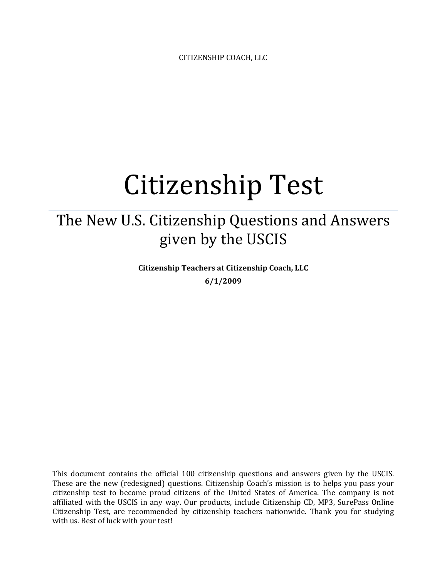CITIZENSHIP COACH, LLC

# Citizenship Test

# The New U.S. Citizenship Questions and Answers given by the USCIS

**Citizenship Teachers at Citizenship Coach, LLC 6/1/2009**

This document contains the official 100 citizenship questions and answers given by the USCIS. These are the new (redesigned) questions. Citizenship Coach's mission is to helps you pass your citizenship test to become proud citizens of the United States of America. The company is not affiliated with the USCIS in any way. Our products, include Citizenship CD, MP3, SurePass Online Citizenship Test, are recommended by citizenship teachers nationwide. Thank you for studying with us. Best of luck with your test!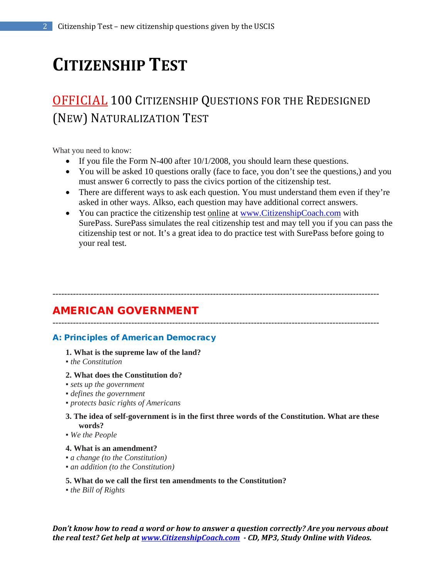# **CITIZENSHIP TEST**

# OFFICIAL 100 CITIZENSHIP QUESTIONS FOR THE REDESIGNED (NEW) NATURALIZATION TEST

What you need to know:

- If you file the Form N-400 after 10/1/2008, you should learn these questions.
- You will be asked 10 questions orally (face to face, you don't see the questions,) and you must answer 6 correctly to pass the civics portion of the citizenship test.
- There are different ways to ask each question. You must understand them even if they're asked in other ways. Alkso, each question may have additional correct answers.
- You can practice the citizenship test online at [www.CitizenshipCoach.com](http://www.citizenshipcoach.com/) with SurePass. SurePass simulates the real citizenship test and may tell you if you can pass the citizenship test or not. It's a great idea to do practice test with SurePass before going to your real test.

----------------------------------------------------------------------------------------------------------------

----------------------------------------------------------------------------------------------------------------

# AMERICAN GOVERNMENT

## A: Principles of American Democracy

#### **1. What is the supreme law of the land?**

■ *the Constitution* 

#### **2. What does the Constitution do?**

- *sets up the government*
- *defines the government*
- *protects basic rights of Americans*

#### **3. The idea of self-government is in the first three words of the Constitution. What are these words?**

▪ *We the People*

#### **4. What is an amendment?**

- *a change (to the Constitution)*
- *an addition (to the Constitution)*

#### **5. What do we call the first ten amendments to the Constitution?**

▪ *the Bill of Rights*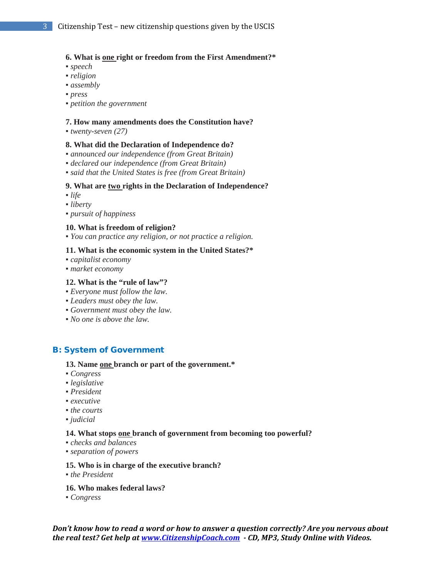#### **6. What is one right or freedom from the First Amendment?\***

- *speech*
- *religion*
- *assembly*
- *press*
- *petition the government*

#### **7. How many amendments does the Constitution have?**

▪ *twenty-seven (27)*

#### **8. What did the Declaration of Independence do?**

- *announced our independence (from Great Britain)*
- *declared our independence (from Great Britain)*
- *said that the United States is free (from Great Britain)*

#### **9. What are two rights in the Declaration of Independence?**

- *life*
- *liberty*
- *pursuit of happiness*

#### **10. What is freedom of religion?**

▪ *You can practice any religion, or not practice a religion.*

#### **11. What is the economic system in the United States?\***

- *capitalist economy*
- *market economy*

#### **12. What is the "rule of law"?**

- *Everyone must follow the law.*
- *Leaders must obey the law.*
- *Government must obey the law.*
- *No one is above the law.*

#### B: System of Government

#### **13. Name one branch or part of the government.\***

- *Congress*
- *legislative*
- *President*
- *executive*
- *the courts*
- *judicial*

#### **14. What stops one branch of government from becoming too powerful?**

- *checks and balances*
- *separation of powers*

#### **15. Who is in charge of the executive branch?**

▪ *the President*

#### **16. Who makes federal laws?**

▪ *Congress*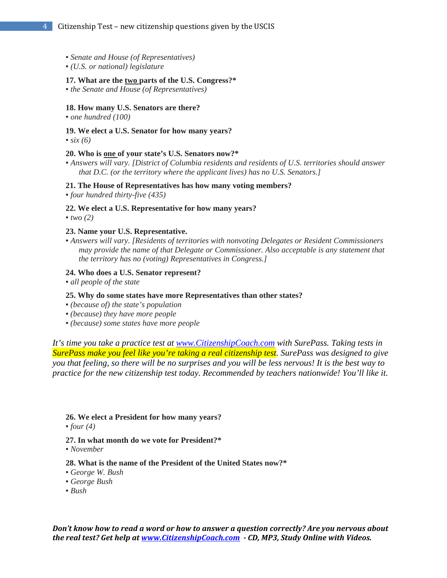- *Senate and House (of Representatives)*
- *(U.S. or national) legislature*

#### **17. What are the two parts of the U.S. Congress?\***

▪ *the Senate and House (of Representatives)*

#### **18. How many U.S. Senators are there?**

▪ *one hundred (100)*

**19. We elect a U.S. Senator for how many years?**   $\cdot$  *six (6)* 

#### **20. Who is one of your state's U.S. Senators now?\***

▪ *Answers will vary. [District of Columbia residents and residents of U.S. territories should answer that D.C. (or the territory where the applicant lives) has no U.S. Senators.]*

#### **21. The House of Representatives has how many voting members?**

▪ *four hundred thirty-five (435)*

#### **22. We elect a U.S. Representative for how many years?**

 $\bullet$  *two* (2)

#### **23. Name your U.S. Representative.**

▪ *Answers will vary. [Residents of territories with nonvoting Delegates or Resident Commissioners may provide the name of that Delegate or Commissioner. Also acceptable is any statement that the territory has no (voting) Representatives in Congress.]*

#### **24. Who does a U.S. Senator represent?**

▪ *all people of the state*

#### **25. Why do some states have more Representatives than other states?**

- *(because of) the state's population*
- *(because) they have more people*
- *(because) some states have more people*

*It's time you take a practice test at [www.CitizenshipCoach.com](http://www.citizenshipcoach.com/) with SurePass. Taking tests in SurePass make you feel like you're taking a real citizenship test. SurePass was designed to give you that feeling, so there will be no surprises and you will be less nervous! It is the best way to practice for the new citizenship test today. Recommended by teachers nationwide! You'll like it.*

#### **26. We elect a President for how many years?**

 $\bullet$  *four* (4)

#### **27. In what month do we vote for President?\***

▪ *November*

#### **28. What is the name of the President of the United States now?\***

- *George W. Bush*
- *George Bush*
- *Bush*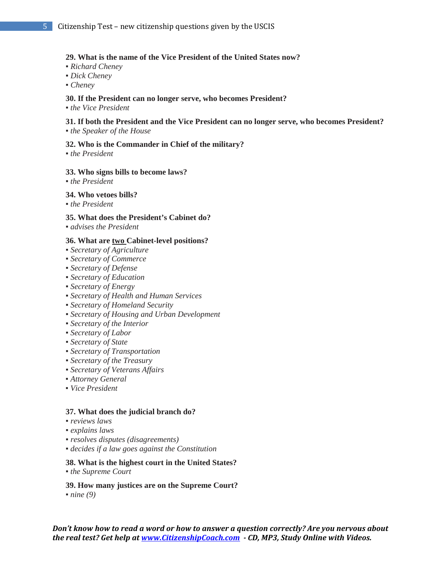#### **29. What is the name of the Vice President of the United States now?**

- *Richard Cheney*
- *Dick Cheney*
- *Cheney*

#### **30. If the President can no longer serve, who becomes President?**

▪ *the Vice President*

### **31. If both the President and the Vice President can no longer serve, who becomes President?**

**• the Speaker of the House** 

#### **32. Who is the Commander in Chief of the military?**

▪ *the President*

#### **33. Who signs bills to become laws?**

▪ *the President*

#### **34. Who vetoes bills?**

▪ *the President*

#### **35. What does the President's Cabinet do?**

▪ *advises the President*

#### **36. What are two Cabinet-level positions?**

- *Secretary of Agriculture*
- *Secretary of Commerce*
- *Secretary of Defense*
- *Secretary of Education*
- *Secretary of Energy*
- *Secretary of Health and Human Services*
- *Secretary of Homeland Security*
- *Secretary of Housing and Urban Development*
- *Secretary of the Interior*
- *Secretary of Labor*
- *Secretary of State*
- *Secretary of Transportation*
- *Secretary of the Treasury*
- *Secretary of Veterans Affairs*
- *Attorney General*
- *Vice President*

#### **37. What does the judicial branch do?**

- *reviews laws*
- *explains laws*
- *resolves disputes (disagreements)*
- *decides if a law goes against the Constitution*

#### **38. What is the highest court in the United States?**

■ *the Supreme Court* 

#### **39. How many justices are on the Supreme Court?**

 $\nu$ *nine* (9)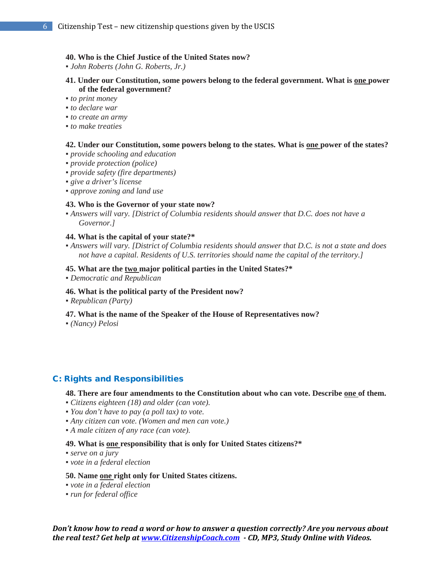#### **40. Who is the Chief Justice of the United States now?**

▪ *John Roberts (John G. Roberts, Jr.)*

- **41. Under our Constitution, some powers belong to the federal government. What is one power of the federal government?**
- *to print money*
- *to declare war*
- *to create an army*
- *to make treaties*

#### **42. Under our Constitution, some powers belong to the states. What is one power of the states?**

- *provide schooling and education*
- *provide protection (police)*
- *provide safety (fire departments)*
- *give a driver's license*
- *approve zoning and land use*

#### **43. Who is the Governor of your state now?**

▪ *Answers will vary. [District of Columbia residents should answer that D.C. does not have a Governor.]*

#### **44. What is the capital of your state?\***

▪ *Answers will vary. [District of Columbia residents should answer that D.C. is not a state and does not have a capital. Residents of U.S. territories should name the capital of the territory.]*

#### **45. What are the two major political parties in the United States?\***

▪ *Democratic and Republican*

#### **46. What is the political party of the President now?**

▪ *Republican (Party)*

#### **47. What is the name of the Speaker of the House of Representatives now?**

▪ *(Nancy) Pelosi*

#### C: Rights and Responsibilities

#### **48. There are four amendments to the Constitution about who can vote. Describe one of them.**

- *Citizens eighteen (18) and older (can vote).*
- *You don't have to pay (a poll tax) to vote.*
- *Any citizen can vote. (Women and men can vote.)*
- *A male citizen of any race (can vote).*

#### **49. What is one responsibility that is only for United States citizens?\***

- *serve on a jury*
- *vote in a federal election*

#### **50. Name one right only for United States citizens.**

- *vote in a federal election*
- *run for federal office*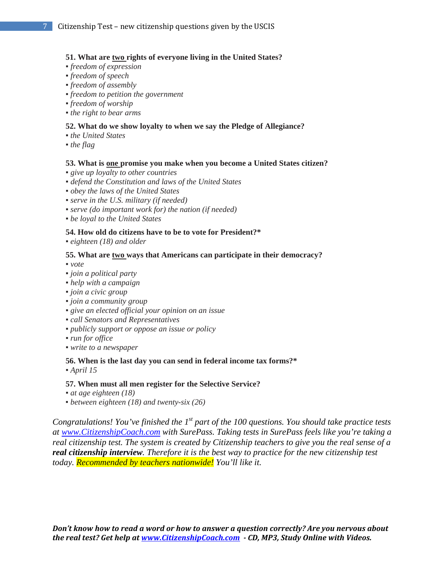#### **51. What are two rights of everyone living in the United States?**

- *freedom of expression*
- *freedom of speech*
- *freedom of assembly*
- *freedom to petition the government*
- *freedom of worship*
- *the right to bear arms*

#### **52. What do we show loyalty to when we say the Pledge of Allegiance?**

- *the United States*
- *the flag*

#### **53. What is one promise you make when you become a United States citizen?**

- *give up loyalty to other countries*
- *defend the Constitution and laws of the United States*
- *obey the laws of the United States*
- *serve in the U.S. military (if needed)*
- *serve (do important work for) the nation (if needed)*
- *be loyal to the United States*

#### **54. How old do citizens have to be to vote for President?\***

▪ *eighteen (18) and older*

#### **55. What are two ways that Americans can participate in their democracy?**

▪ *vote* 

- *join a political party*
- *help with a campaign*
- *join a civic group*
- *join a community group*
- *give an elected official your opinion on an issue*
- *call Senators and Representatives*
- *publicly support or oppose an issue or policy*
- *run for office*
- *write to a newspaper*

#### **56. When is the last day you can send in federal income tax forms?\***

▪ *April 15*

#### **57. When must all men register for the Selective Service?**

- *at age eighteen (18)*
- *between eighteen (18) and twenty-six (26)*

*Congratulations! You've finished the 1st part of the 100 questions. You should take practice tests at [www.CitizenshipCoach.com](http://www.citizenshipcoach.com/) with SurePass. Taking tests in SurePass feels like you're taking a real citizenship test. The system is created by Citizenship teachers to give you the real sense of a real citizenship interview. Therefore it is the best way to practice for the new citizenship test today. Recommended by teachers nationwide! You'll like it.*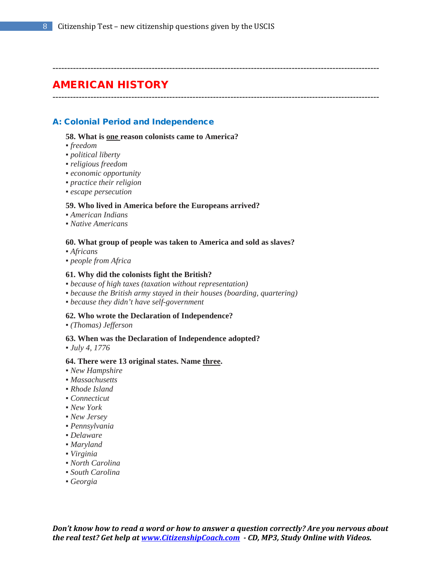#### ----------------------------------------------------------------------------------------------------------------

# AMERICAN HISTORY

----------------------------------------------------------------------------------------------------------------

### A: Colonial Period and Independence

#### **58. What is one reason colonists came to America?**

- *freedom*
- *political liberty*
- *religious freedom*
- *economic opportunity*
- *practice their religion*
- *escape persecution*

#### **59. Who lived in America before the Europeans arrived?**

- *American Indians*
- *Native Americans*

#### **60. What group of people was taken to America and sold as slaves?**

- *Africans*
- *people from Africa*

#### **61. Why did the colonists fight the British?**

- *because of high taxes (taxation without representation)*
- *because the British army stayed in their houses (boarding, quartering)*
- *because they didn't have self-government*

#### **62. Who wrote the Declaration of Independence?**

▪ *(Thomas) Jefferson*

#### **63. When was the Declaration of Independence adopted?**

▪ *July 4, 1776*

#### **64. There were 13 original states. Name three.**

- *New Hampshire*
- *Massachusetts*
- *Rhode Island*
- *Connecticut*
- *New York*
- *New Jersey*
- *Pennsylvania*
- *Delaware*
- *Maryland*
- *Virginia*
- *North Carolina*
- *South Carolina*
- *Georgia*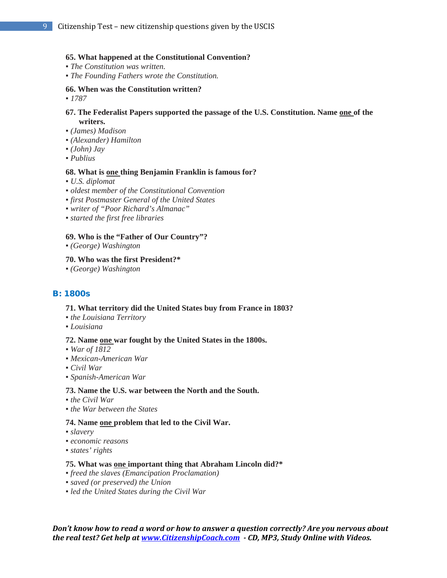#### **65. What happened at the Constitutional Convention?**

- *The Constitution was written.*
- *The Founding Fathers wrote the Constitution.*

#### **66. When was the Constitution written?**

▪ *1787*

#### **67. The Federalist Papers supported the passage of the U.S. Constitution. Name one of the writers.**

- *(James) Madison*
- *(Alexander) Hamilton*
- *(John) Jay*
- *Publius*

#### **68. What is one thing Benjamin Franklin is famous for?**

- *U.S. diplomat*
- *oldest member of the Constitutional Convention*
- *first Postmaster General of the United States*
- *writer of "Poor Richard's Almanac"*
- *started the first free libraries*

#### **69. Who is the "Father of Our Country"?**

▪ *(George) Washington*

#### **70. Who was the first President?\***

▪ *(George) Washington*

#### B: 1800s

#### **71. What territory did the United States buy from France in 1803?**

- *the Louisiana Territory*
- *Louisiana*

#### **72. Name one war fought by the United States in the 1800s.**

- *War of 1812*
- *Mexican-American War*
- *Civil War*
- *Spanish-American War*

#### **73. Name the U.S. war between the North and the South.**

- *the Civil War*
- *the War between the States*

#### **74. Name one problem that led to the Civil War.**

- *slavery*
- *economic reasons*
- *states' rights*

#### **75. What was one important thing that Abraham Lincoln did?\***

- *freed the slaves (Emancipation Proclamation)*
- *saved (or preserved) the Union*
- *led the United States during the Civil War*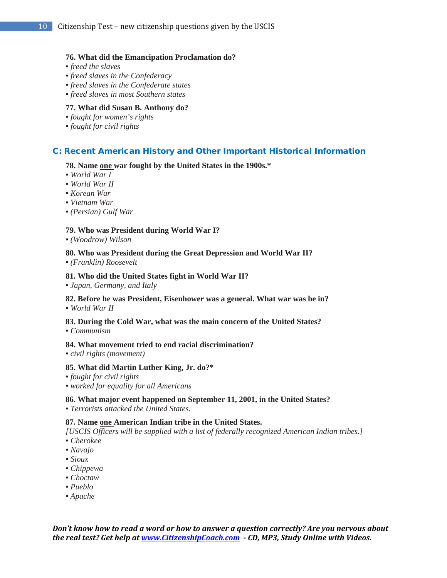#### **76. What did the Emancipation Proclamation do?**

- *freed the slaves*
- *freed slaves in the Confederacy*
- *freed slaves in the Confederate states*
- *freed slaves in most Southern states*

#### **77. What did Susan B. Anthony do?**

- *fought for women's rights*
- *fought for civil rights*

#### C: Recent American History and Other Important Historical Information

#### **78. Name one war fought by the United States in the 1900s.\***

- *World War I*
- *World War II*
- *Korean War*
- *Vietnam War*
- *(Persian) Gulf War*

#### **79. Who was President during World War I?**

▪ *(Woodrow) Wilson*

#### **80. Who was President during the Great Depression and World War II?**

▪ *(Franklin) Roosevelt*

#### **81. Who did the United States fight in World War II?**

▪ *Japan, Germany, and Italy*

#### **82. Before he was President, Eisenhower was a general. What war was he in?**  ▪ *World War II*

**83. During the Cold War, what was the main concern of the United States?** 

▪ *Communism*

#### **84. What movement tried to end racial discrimination?**

▪ *civil rights (movement)*

#### **85. What did Martin Luther King, Jr. do?\***

- *fought for civil rights*
- *worked for equality for all Americans*

#### **86. What major event happened on September 11, 2001, in the United States?**

▪ *Terrorists attacked the United States.*

#### **87. Name one American Indian tribe in the United States.**

*[USCIS Officers will be supplied with a list of federally recognized American Indian tribes.]* 

- *Cherokee*
- *Navajo*
- *Sioux*
- *Chippewa*
- *Choctaw*
- *Pueblo*
- *Apache*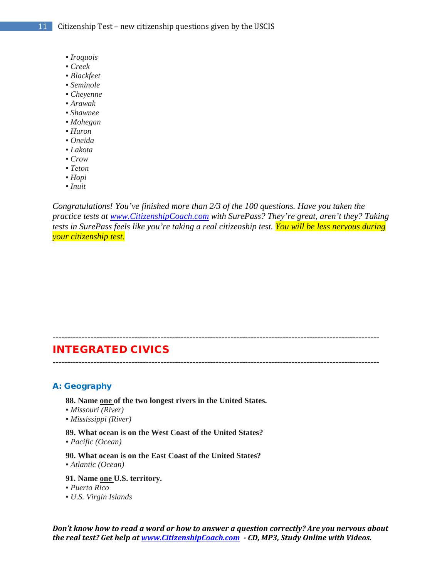- *Iroquois*
- *Creek*
- *Blackfeet*
- *Seminole*
- *Cheyenne*
- *Arawak*
- *Shawnee*
- *Mohegan*
- *Huron*
- *Oneida*
- *Lakota*
- *Crow*
- *Teton*
- *Hopi*
- *Inuit*

*Congratulations! You've finished more than 2/3 of the 100 questions. Have you taken the practice tests at [www.CitizenshipCoach.com](http://www.citizenshipcoach.com/) with SurePass? They're great, aren't they? Taking tests in SurePass feels like you're taking a real citizenship test. You will be less nervous during your citizenship test.*

### INTEGRATED CIVICS

----------------------------------------------------------------------------------------------------------------

----------------------------------------------------------------------------------------------------------------

#### A: Geography

**88. Name one of the two longest rivers in the United States.** 

- *Missouri (River)*
- *Mississippi (River)*
- **89. What ocean is on the West Coast of the United States?**
- *Pacific (Ocean)*

**90. What ocean is on the East Coast of the United States?**  ▪ *Atlantic (Ocean)*

- **91. Name one U.S. territory.**
- *Puerto Rico*
- *U.S. Virgin Islands*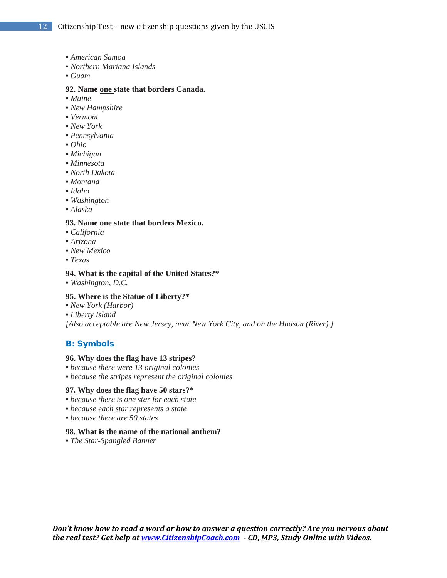- *American Samoa*
- *Northern Mariana Islands*
- *Guam*

#### **92. Name one state that borders Canada.**

- *Maine*
- *New Hampshire*
- *Vermont*
- *New York*
- *Pennsylvania*
- *Ohio*
- *Michigan*
- *Minnesota*
- *North Dakota*
- *Montana*
- *Idaho*
- *Washington*
- *Alaska*

#### **93. Name one state that borders Mexico.**

- *California*
- *Arizona*
- *New Mexico*
- *Texas*

#### **94. What is the capital of the United States?\***

▪ *Washington, D.C.*

#### **95. Where is the Statue of Liberty?\***

- *New York (Harbor)*
- *Liberty Island*

*[Also acceptable are New Jersey, near New York City, and on the Hudson (River).]*

#### B: Symbols

#### **96. Why does the flag have 13 stripes?**

- *because there were 13 original colonies*
- *because the stripes represent the original colonies*

#### **97. Why does the flag have 50 stars?\***

- *because there is one star for each state*
- *because each star represents a state*
- *because there are 50 states*

#### **98. What is the name of the national anthem?**

▪ *The Star-Spangled Banner*